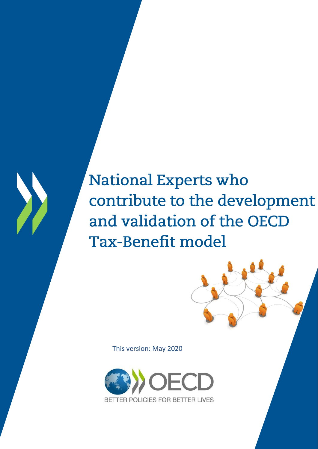# **National Experts who** contribute to the development and validation of the OECD **Tax-Benefit model**

This version: May 2020

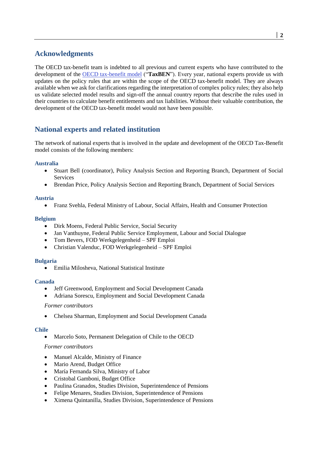# **Acknowledgments**

The OECD tax-benefit team is indebted to all previous and current experts who have contributed to the development of the [OECD tax-benefit model](https://www.oecd.org/social/benefits-and-wages/) ("**TaxBEN**"). Every year, national experts provide us with updates on the policy rules that are within the scope of the OECD tax-benefit model. They are always available when we ask for clarifications regarding the interpretation of complex policy rules; they also help us validate selected model results and sign-off the annual country reports that describe the rules used in their countries to calculate benefit entitlements and tax liabilities. Without their valuable contribution, the development of the OECD tax-benefit model would not have been possible.

# **National experts and related institution**

The network of national experts that is involved in the update and development of the OECD Tax-Benefit model consists of the following members:

# **Australia**

- Stuart Bell (coordinator), Policy Analysis Section and Reporting Branch, Department of Social Services
- Brendan Price, Policy Analysis Section and Reporting Branch, Department of Social Services

#### **Austria**

Franz Svehla, Federal Ministry of Labour, Social Affairs, Health and Consumer Protection

# **Belgium**

- Dirk Moens, Federal Public Service, Social Security
- Jan Vanthuyne, Federal Public Service Employment, Labour and Social Dialogue
- Tom Bevers, FOD Werkgelegenheid SPF Emploi
- Christian Valenduc, FOD Werkgelegenheid SPF Emploi

#### **Bulgaria**

Emilia Milosheva, National Statistical Institute

#### **Canada**

- Jeff Greenwood, Employment and Social Development Canada
- Adriana Sorescu, Employment and Social Development Canada

#### *Former contributors*

Chelsea Sharman, Employment and Social Development Canada

#### **Chile**

• Marcelo Soto, Permanent Delegation of Chile to the OECD

#### *Former contributors*

- Manuel Alcalde, Ministry of Finance
- Mario Arend, Budget Office
- María Fernanda Silva, Ministry of Labor
- Cristobal Gamboni, Budget Office
- Paulina Granados, Studies Division, Superintendence of Pensions
- Felipe Menares, Studies Division, Superintendence of Pensions
- Ximena Quintanilla, Studies Division, Superintendence of Pensions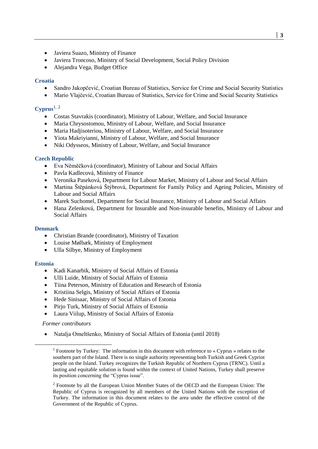- Javiera Suazo, Ministry of Finance
- Javiera Troncoso, Ministry of Social Development, Social Policy Division
- Alejandra Vega, Budget Office

# **Croatia**

- Sandro Jakopčević, Croatian Bureau of Statistics, Service for Crime and Social Security Statistics
- Mario Vlajčević, Croatian Bureau of Statistics, Service for Crime and Social Security Statistics

# **Cyprus**1**,** <sup>2</sup>

- Costas Stavrakis (coordinator), Ministry of Labour, Welfare, and Social Insurance
- Maria Chrysostomou, Ministry of Labour, Welfare, and Social Insurance
- Maria Hadjisoteriou, Ministry of Labour, Welfare, and Social Insurance
- Yiota Makriyianni, Ministry of Labour, Welfare, and Social Insurance
- Niki Odysseos, Ministry of Labour, Welfare, and Social Insurance

# **Czech Republic**

- Eva Něměčková (coordinator), Ministry of Labour and Social Affairs
- Pavla Kadlecová, Ministry of Finance
- Veronika Paseková, Department for Labour Market, Ministry of Labour and Social Affairs
- Martina Štěpánková Štýbrová, Department for Family Policy and Ageing Policies, Ministry of Labour and Social Affairs
- Marek Suchomel, Department for Social Insurance, Ministry of Labour and Social Affairs
- Hana Zelenková, Department for Insurable and Non-insurable benefits, Ministry of Labour and Social Affairs

#### **Denmark**

- Christian Brande (coordinator), Ministry of Taxation
- Louise Mølbæk, Ministry of Employment
- Ulla Silbye, Ministry of Employment

#### **Estonia**

- Kadi Kanarbik, Ministry of Social Affairs of Estonia
- Ulli Luide, Ministry of Social Affairs of Estonia
- Tiina Peterson, Ministry of Education and Research of Estonia
- Kristiina Selgis, Ministry of Social Affairs of Estonia
- Hede Sinisaar, Ministry of Social Affairs of Estonia
- Pirjo Turk, Ministry of Social Affairs of Estonia
- Laura Viilup, Ministry of Social Affairs of Estonia

#### *Former contributors*

Natalja Omeltšenko, Ministry of Social Affairs of Estonia (until 2018)

<sup>1</sup> Footnote by Turkey: The information in this document with reference to « Cyprus » relates to the southern part of the Island. There is no single authority representing both Turkish and Greek Cypriot people on the Island. Turkey recognizes the Turkish Republic of Northern Cyprus (TRNC). Until a lasting and equitable solution is found within the context of United Nations, Turkey shall preserve its position concerning the "Cyprus issue".

<sup>&</sup>lt;sup>2</sup> Footnote by all the European Union Member States of the OECD and the European Union: The Republic of Cyprus is recognized by all members of the United Nations with the exception of Turkey. The information in this document relates to the area under the effective control of the Government of the Republic of Cyprus.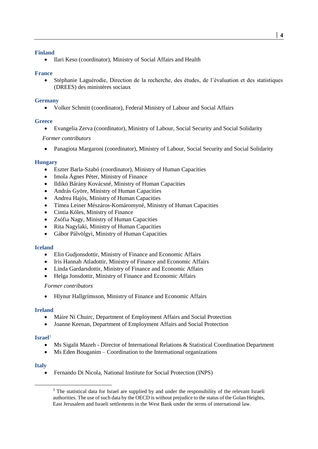#### **Finland**

Ilari Keso (coordinator), Ministry of Social Affairs and Health

#### **France**

 Stéphanie Laguérodie, Direction de la recherche, des études, de l'évaluation et des statistiques (DREES) des ministères sociaux

#### **Germany**

Volker Schmitt (coordinator), Federal Ministry of Labour and Social Affairs

#### **Greece**

Evangelia Zerva (coordinator), Ministry of Labour, Social Security and Social Solidarity

# *Former contributors*

Panagiota Margaroni (coordinator), Ministry of Labour, Social Security and Social Solidarity

#### **Hungary**

- Eszter Barla-Szabó (coordinator), Ministry of Human Capacities
- Imola Ágnes Péter, Ministry of Finance
- Ildikó Bárány Kovácsné, Ministry of Human Capacities
- András Györe, Ministry of Human Capacities
- Andrea Hajós, Ministry of Human Capacities
- Tímea Leiner Mészáros-Komáromyné, Ministry of Human Capacities
- Cintia Köles, Ministry of Finance
- Zsófia Nagy, Ministry of Human Capacities
- Rita Nagylaki, Ministry of Human Capacities
- Gábor Pálvölgyi, Ministry of Human Capacities

#### **Iceland**

- Elin Gudjonsdottir, Ministry of Finance and Economic Affairs
- Iris Hannah Atladottir, Ministry of Finance and Economic Affairs
- Linda Gardarsdottir, Ministry of Finance and Economic Affairs
- Helga Jonsdottir, Ministry of Finance and Economic Affairs

#### *Former contributors*

Hlynur Hallgrímsson, Ministry of Finance and Economic Affairs

#### **Ireland**

- Máire Ní Chuirc, Department of Employment Affairs and Social Protection
- Joanne Keenan, Department of Employment Affairs and Social Protection

#### **Israel**<sup>3</sup>

- Ms Sigalit Mazeh Director of International Relations & Statistical Coordination Department
- Ms Eden Bouganim Coordination to the International organizations

#### **Italy**

Fernando Di Nicola, National Institute for Social Protection (INPS)

<sup>&</sup>lt;sup>3</sup> The statistical data for Israel are supplied by and under the responsibility of the relevant Israeli authorities. The use of such data by the OECD is without prejudice to the status of the Golan Heights, East Jerusalem and Israeli settlements in the West Bank under the terms of international law.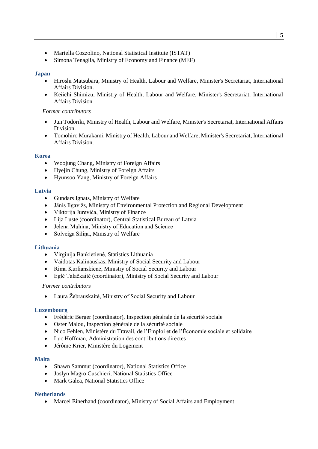- Mariella Cozzolino, National Statistical Institute (ISTAT)
- Simona Tenaglia, Ministry of Economy and Finance (MEF)

#### **Japan**

- Hiroshi Matsubara, Ministry of Health, Labour and Welfare, Minister's Secretariat, International Affairs Division.
- Keiichi Shimizu, Ministry of Health, Labour and Welfare. Minister's Secretariat, International Affairs Division.

#### *Former contributors*

- Jun Todoriki, Ministry of Health, Labour and Welfare, Minister's Secretariat, International Affairs Division.
- Tomohiro Murakami, Ministry of Health, Labour and Welfare, Minister's Secretariat, International Affairs Division.

#### **Korea**

- Woojung Chang, Ministry of Foreign Affairs
- Hyejin Chung, Ministry of Foreign Affairs
- Hyunsoo Yang, Ministry of Foreign Affairs

#### **Latvia**

- Gundars Ignats, Ministry of Welfare
- Jānis Ilgavižs, Ministry of Environmental Protection and Regional Development
- Viktorija Jureviča, Ministry of Finance
- Lija Luste (coordinator), Central Statistical Bureau of Latvia
- Jeļena Muhina, Ministry of Education and Science
- Solveiga Silina, Ministry of Welfare

#### **Lithuania**

- Virginija Bankietienė, Statistics Lithuania
- Vaidotas Kalinauskas, Ministry of Social Security and Labour
- Rima Kurlianskienė, Ministry of Social Security and Labour
- Eglė Talačkaitė (coordinator), Ministry of Social Security and Labour

#### *Former contributors*

Laura Žebrauskaitė, Ministry of Social Security and Labour

#### **Luxembourg**

- Frédéric Berger (coordinator), Inspection générale de la sécurité sociale
- Oster Malou, Inspection générale de la sécurité sociale
- Nico Fehlen, Ministère du Travail, de l'Emploi et de l'Économie sociale et solidaire
- Luc Hoffman, Administration des contributions directes
- Jérôme Krier, Ministère du Logement

#### **Malta**

- Shawn Sammut (coordinator), National Statistics Office
- Joslyn Magro Cuschieri, National Statistics Office
- Mark Galea, National Statistics Office

#### **Netherlands**

Marcel Einerhand (coordinator), Ministry of Social Affairs and Employment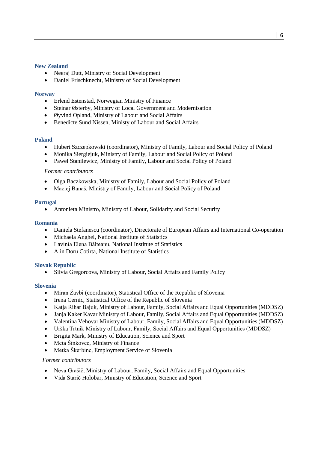#### **New Zealand**

- Neeraj Dutt, Ministry of Social Development
- Daniel Frischknecht, Ministry of Social Development

#### **Norway**

- Erlend Estenstad, Norwegian Ministry of Finance
- Steinar Østerby, Ministry of Local Government and Modernisation
- Øyvind Opland, Ministry of Labour and Social Affairs
- Benedicte Sund Nissen, Ministy of Labour and Social Affairs

#### **Poland**

- Hubert Szczepkowski (coordinator), Ministry of Family, Labour and Social Policy of Poland
- Monika Siergiejuk, Ministry of Family, Labour and Social Policy of Poland
- Pawel Stanilewicz, Ministry of Family, Labour and Social Policy of Poland

#### *Former contributors*

- Olga Baczkowska, Ministry of Family, Labour and Social Policy of Poland
- Maciej Banaś, Ministry of Family, Labour and Social Policy of Poland

#### **Portugal**

Antonieta Ministro, Ministry of Labour, Solidarity and Social Security

#### **Romania**

- Daniela Stefanescu (coordinator), Directorate of European Affairs and International Co-operation
- Michaela Anghel, National Institute of Statistics
- Lavinia Elena Bălteanu, National Institute of Statistics
- Alin Doru Cotirta, National Institute of Statistics

#### **Slovak Republic**

Silvia Gregorcova, Ministry of Labour, Social Affairs and Family Policy

#### **Slovenia**

- Miran Žavbi (coordinator), Statistical Office of the Republic of Slovenia
- Irena Cernic, Statistical Office of the Republic of Slovenia
- Katja Rihar Bajuk, Ministry of Labour, Family, Social Affairs and Equal Opportunities (MDDSZ)
- Janja Kaker Kavar Ministry of Labour, Family, Social Affairs and Equal Opportunities (MDDSZ)
- Valentina Vehovar Ministry of Labour, Family, Social Affairs and Equal Opportunities (MDDSZ)
- Urška Trtnik Ministry of Labour, Family, Social Affairs and Equal Opportunities (MDDSZ)
- Brigita Mark, Ministry of Education, Science and Sport
- Meta Šinkovec, Ministry of Finance
- Metka Škerbinc, Employment Service of Slovenia

#### *Former contributors*

- Neva Grašič, Ministry of Labour, Family, Social Affairs and Equal Opportunities
- Vida Starič Holobar, Ministry of Education, Science and Sport